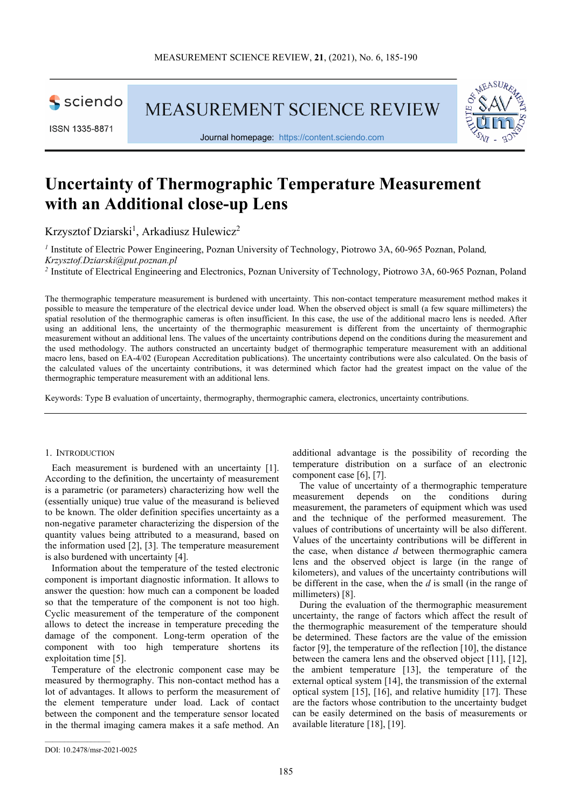

ISSN 1335-8871

MEASUREMENT SCIENCE REVIEW



Journal homepage: [https://content.sciendo.com](https://content.sciendo.com/view/journals/msr/msr-overview.xml)

# **Uncertainty of Thermographic Temperature Measurement with an Additional close-up Lens**

Krzysztof Dziarski<sup>1</sup>, Arkadiusz Hulewicz<sup>2</sup>

*<sup>1</sup>* Institute of Electric Power Engineering, Poznan University of Technology, Piotrowo 3A, 60-965 Poznan, Poland*, Krzysztof.Dziarski@put.poznan.pl*

*<sup>2</sup>* Institute of Electrical Engineering and Electronics, Poznan University of Technology, Piotrowo 3A, 60-965 Poznan, Poland

The thermographic temperature measurement is burdened with uncertainty. This non-contact temperature measurement method makes it possible to measure the temperature of the electrical device under load. When the observed object is small (a few square millimeters) the spatial resolution of the thermographic cameras is often insufficient. In this case, the use of the additional macro lens is needed. After using an additional lens, the uncertainty of the thermographic measurement is different from the uncertainty of thermographic measurement without an additional lens. The values of the uncertainty contributions depend on the conditions during the measurement and the used methodology. The authors constructed an uncertainty budget of thermographic temperature measurement with an additional macro lens, based on EA-4/02 (European Accreditation publications). The uncertainty contributions were also calculated. On the basis of the calculated values of the uncertainty contributions, it was determined which factor had the greatest impact on the value of the thermographic temperature measurement with an additional lens.

Keywords: Type B evaluation of uncertainty, thermography, thermographic camera, electronics, uncertainty contributions.

#### 1. INTRODUCTION

Each measurement is burdened with an uncertainty [1]. According to the definition, the uncertainty of measurement is a parametric (or parameters) characterizing how well the (essentially unique) true value of the measurand is believed to be known. The older definition specifies uncertainty as a non-negative parameter characterizing the dispersion of the quantity values being attributed to a measurand, based on the information used [2], [3]. The temperature measurement is also burdened with uncertainty [4].

Information about the temperature of the tested electronic component is important diagnostic information. It allows to answer the question: how much can a component be loaded so that the temperature of the component is not too high. Cyclic measurement of the temperature of the component allows to detect the increase in temperature preceding the damage of the component. Long-term operation of the component with too high temperature shortens its exploitation time [5].

Temperature of the electronic component case may be measured by thermography. This non-contact method has a lot of advantages. It allows to perform the measurement of the element temperature under load. Lack of contact between the component and the temperature sensor located in the thermal imaging camera makes it a safe method. An

additional advantage is the possibility of recording the temperature distribution on a surface of an electronic component case [6], [7].

The value of uncertainty of a thermographic temperature<br>reasurement depends on the conditions during measurement depends on the conditions during measurement, the parameters of equipment which was used and the technique of the performed measurement. The values of contributions of uncertainty will be also different. Values of the uncertainty contributions will be different in the case, when distance *d* between thermographic camera lens and the observed object is large (in the range of kilometers), and values of the uncertainty contributions will be different in the case, when the *d* is small (in the range of millimeters) [8].

During the evaluation of the thermographic measurement uncertainty, the range of factors which affect the result of the thermographic measurement of the temperature should be determined. These factors are the value of the emission factor [9], the temperature of the reflection [10], the distance between the camera lens and the observed object [11], [12], the ambient temperature [13], the temperature of the external optical system [14], the transmission of the external optical system [15], [16], and relative humidity [17]. These are the factors whose contribution to the uncertainty budget can be easily determined on the basis of measurements or available literature [18], [19].

 $\mathcal{L}_\text{max}$  and  $\mathcal{L}_\text{max}$  and  $\mathcal{L}_\text{max}$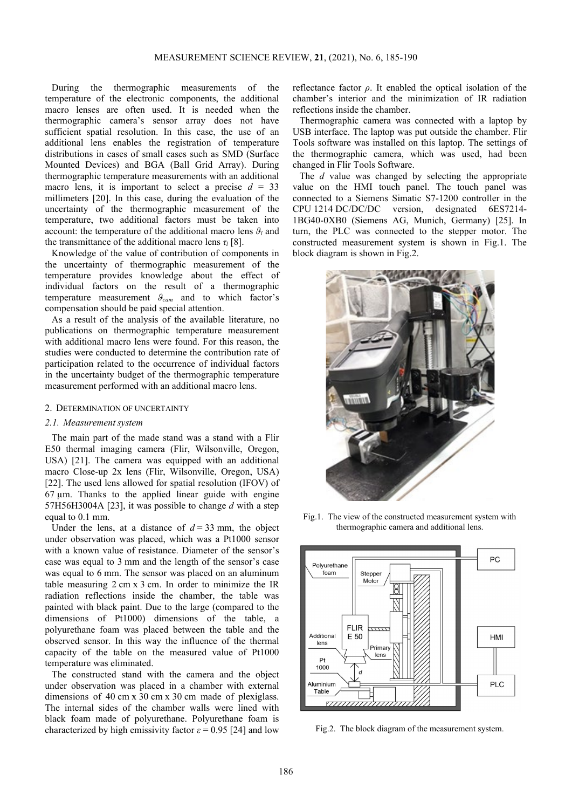During the thermographic measurements of the temperature of the electronic components, the additional macro lenses are often used. It is needed when the thermographic camera's sensor array does not have sufficient spatial resolution. In this case, the use of an additional lens enables the registration of temperature distributions in cases of small cases such as SMD (Surface Mounted Devices) and BGA (Ball Grid Array). During thermographic temperature measurements with an additional macro lens, it is important to select a precise  $d = 33$ millimeters [20]. In this case, during the evaluation of the uncertainty of the thermographic measurement of the temperature, two additional factors must be taken into account: the temperature of the additional macro lens  $\theta_l$  and the transmittance of the additional macro lens *τ<sup>l</sup>* [8].

Knowledge of the value of contribution of components in the uncertainty of thermographic measurement of the temperature provides knowledge about the effect of individual factors on the result of a thermographic temperature measurement *ϑcam* and to which factor's compensation should be paid special attention.

As a result of the analysis of the available literature, no publications on thermographic temperature measurement with additional macro lens were found. For this reason, the studies were conducted to determine the contribution rate of participation related to the occurrence of individual factors in the uncertainty budget of the thermographic temperature measurement performed with an additional macro lens.

#### 2. DETERMINATION OF UNCERTAINTY

#### *2.1. Measurement system*

The main part of the made stand was a stand with a Flir E50 thermal imaging camera (Flir, Wilsonville, Oregon, USA) [21]. The camera was equipped with an additional macro Close-up 2x lens (Flir, Wilsonville, Oregon, USA) [22]. The used lens allowed for spatial resolution (IFOV) of  $67 \mu m$ . Thanks to the applied linear guide with engine 57H56H3004A [23], it was possible to change *d* with a step equal to 0.1 mm.

Under the lens, at a distance of  $d = 33$  mm, the object under observation was placed, which was a Pt1000 sensor with a known value of resistance. Diameter of the sensor's case was equal to 3 mm and the length of the sensor's case was equal to 6 mm. The sensor was placed on an aluminum table measuring 2 cm x 3 cm. In order to minimize the IR radiation reflections inside the chamber, the table was painted with black paint. Due to the large (compared to the dimensions of Pt1000) dimensions of the table, a polyurethane foam was placed between the table and the observed sensor. In this way the influence of the thermal capacity of the table on the measured value of Pt1000 temperature was eliminated.

The constructed stand with the camera and the object under observation was placed in a chamber with external dimensions of 40 cm x 30 cm x 30 cm made of plexiglass. The internal sides of the chamber walls were lined with black foam made of polyurethane. Polyurethane foam is characterized by high emissivity factor  $\varepsilon = 0.95$  [24] and low reflectance factor  $\rho$ . It enabled the optical isolation of the chamber's interior and the minimization of IR radiation reflections inside the chamber.

Thermographic camera was connected with a laptop by USB interface. The laptop was put outside the chamber. Flir Tools software was installed on this laptop. The settings of the thermographic camera, which was used, had been changed in Flir Tools Software.

The *d* value was changed by selecting the appropriate value on the HMI touch panel. The touch panel was connected to a Siemens Simatic S7-1200 controller in the CPU 1214 DC/DC/DC version, designated 6ES7214- 1BG40-0XB0 (Siemens AG, Munich, Germany) [25]. In turn, the PLC was connected to the stepper motor. The constructed measurement system is shown in Fig.1. The block diagram is shown in Fig.2.



Fig.1. The view of the constructed measurement system with thermographic camera and additional lens.



Fig.2. The block diagram of the measurement system.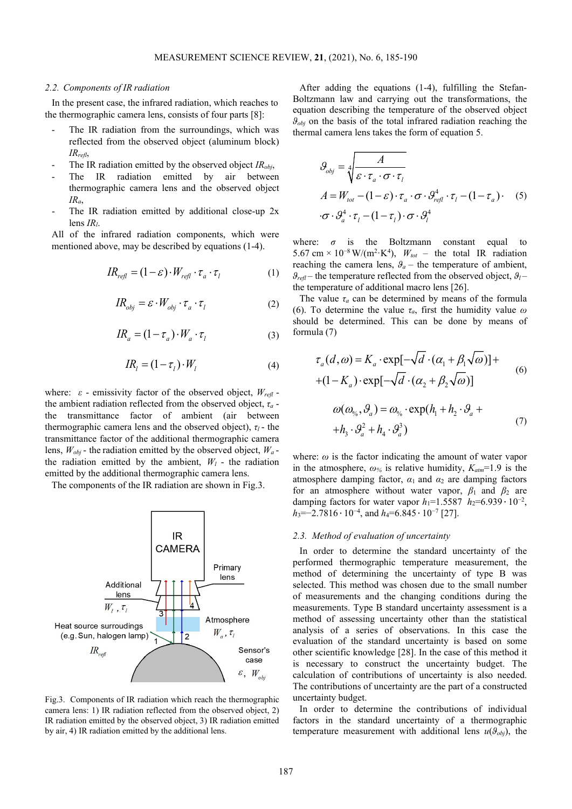### *2.2. Components of IR radiation*

In the present case, the infrared radiation, which reaches to the thermographic camera lens, consists of four parts [8]:

- The IR radiation from the surroundings, which was reflected from the observed object (aluminum block) *IRrefl*,
- The IR radiation emitted by the observed object *IR<sub>obi</sub>*,
- The IR radiation emitted by air between thermographic camera lens and the observed object *IRa*,
- The IR radiation emitted by additional close-up  $2x$ lens *IRl*.

All of the infrared radiation components, which were mentioned above, may be described by equations (1-4).

$$
IR_{refl} = (1 - \varepsilon) \cdot W_{refl} \cdot \tau_a \cdot \tau_l \tag{1}
$$

$$
IR_{obj} = \varepsilon \cdot W_{obj} \cdot \tau_a \cdot \tau_l \tag{2}
$$

$$
IR_a = (1 - \tau_a) \cdot W_a \cdot \tau_l \tag{3}
$$

$$
IR_{l} = (1 - \tau_{l}) \cdot W_{l} \tag{4}
$$

where:  $\varepsilon$  - emissivity factor of the observed object,  $W_{refl}$  the ambient radiation reflected from the observed object, *τ<sup>a</sup>* the transmittance factor of ambient (air between thermographic camera lens and the observed object),  $\tau_l$  - the transmittance factor of the additional thermographic camera lens,  $W_{obj}$  - the radiation emitted by the observed object,  $W_a$  the radiation emitted by the ambient,  $W_l$  - the radiation emitted by the additional thermographic camera lens.

The components of the IR radiation are shown in Fig.3.



Fig.3. Components of IR radiation which reach the thermographic camera lens: 1) IR radiation reflected from the observed object, 2) IR radiation emitted by the observed object, 3) IR radiation emitted by air, 4) IR radiation emitted by the additional lens.

After adding the equations (1-4), fulfilling the Stefan-Boltzmann law and carrying out the transformations, the equation describing the temperature of the observed object  $\theta_{obj}$  on the basis of the total infrared radiation reaching the thermal camera lens takes the form of equation 5.

$$
\mathcal{G}_{obj} = \sqrt[4]{\frac{A}{\varepsilon \cdot \tau_a \cdot \sigma \cdot \tau_l}}
$$
  
\n
$$
A = W_{tot} - (1 - \varepsilon) \cdot \tau_a \cdot \sigma \cdot \mathcal{G}_{refl}^4 \cdot \tau_l - (1 - \tau_a) \cdot (5)
$$
  
\n
$$
\cdot \sigma \cdot \mathcal{G}_a^4 \cdot \tau_l - (1 - \tau_l) \cdot \sigma \cdot \mathcal{G}_l^4
$$

where:  $\sigma$  is the Boltzmann constant equal to 5.67 cm × 10<sup>-8</sup> W/(m<sup>2</sup>·K<sup>4</sup>),  $W_{tot}$  – the total IR radiation reaching the camera lens,  $\theta_a$  – the temperature of ambient,  $\theta_{refl}$  – the temperature reflected from the observed object,  $\theta_l$  – the temperature of additional macro lens [26].

The value  $\tau_a$  can be determined by means of the formula (6). To determine the value *τa*, first the humidity value *ω* should be determined. This can be done by means of formula (7)

$$
\tau_a(d,\omega) = K_a \cdot \exp[-\sqrt{d} \cdot (\alpha_1 + \beta_1 \sqrt{\omega})] +
$$
  
+(1-K\_a) \cdot \exp[-\sqrt{d} \cdot (\alpha\_2 + \beta\_2 \sqrt{\omega})] (6)

$$
\omega(\omega_{\gamma_0}, \mathcal{G}_a) = \omega_{\gamma_0} \cdot \exp(h_1 + h_2 \cdot \mathcal{G}_a ++ h_3 \cdot \mathcal{G}_a^2 + h_4 \cdot \mathcal{G}_a^3)
$$
\n(7)

where:  $\omega$  is the factor indicating the amount of water vapor in the atmosphere,  $\omega_{\%}$  is relative humidity,  $K_{atm}$ =1.9 is the atmosphere damping factor,  $\alpha_1$  and  $\alpha_2$  are damping factors for an atmosphere without water vapor,  $\beta_1$  and  $\beta_2$  are damping factors for water vapor  $h_1$ =1.5587  $h_2$ =6.939 ⋅ 10<sup>-2</sup>, *h*<sub>3</sub>=−2.7816 ⋅ 10<sup>-4</sup>, and *h*<sub>4</sub>=6.845 ⋅ 10<sup>-7</sup> [27].

### *2.3. Method of evaluation of uncertainty*

In order to determine the standard uncertainty of the performed thermographic temperature measurement, the method of determining the uncertainty of type B was selected. This method was chosen due to the small number of measurements and the changing conditions during the measurements. Type B standard uncertainty assessment is a method of assessing uncertainty other than the statistical analysis of a series of observations. In this case the evaluation of the standard uncertainty is based on some other scientific knowledge [28]. In the case of this method it is necessary to construct the uncertainty budget. The calculation of contributions of uncertainty is also needed. The contributions of uncertainty are the part of a constructed uncertainty budget.

In order to determine the contributions of individual factors in the standard uncertainty of a thermographic temperature measurement with additional lens  $u(\theta_{obj})$ , the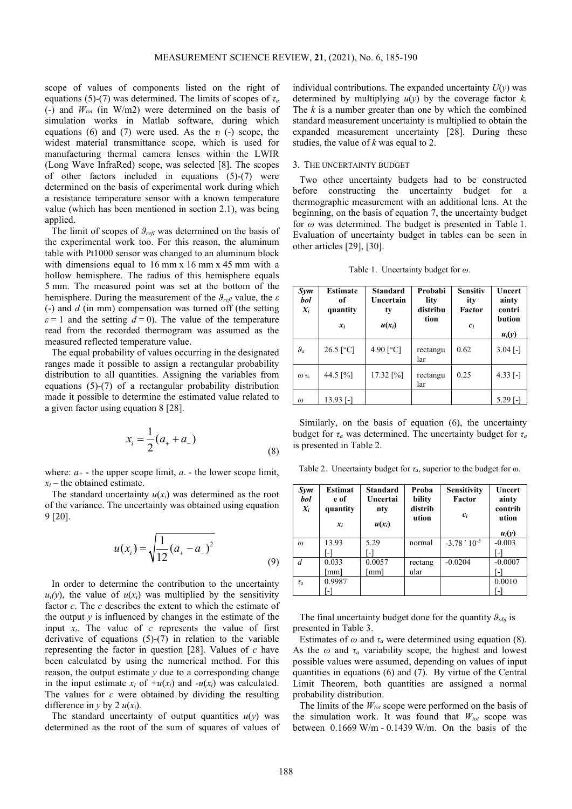scope of values of components listed on the right of equations (5)-(7) was determined. The limits of scopes of *τ<sup>a</sup>* (-) and  $W_{tot}$  (in W/m2) were determined on the basis of simulation works in Matlab software, during which equations (6) and (7) were used. As the  $\tau_l$  (-) scope, the widest material transmittance scope, which is used for manufacturing thermal camera lenses within the LWIR (Long Wave InfraRed) scope, was selected [8]. The scopes of other factors included in equations (5)-(7) were determined on the basis of experimental work during which a resistance temperature sensor with a known temperature value (which has been mentioned in section 2.1), was being applied.

The limit of scopes of *ϑrefl* was determined on the basis of the experimental work too. For this reason, the aluminum table with Pt1000 sensor was changed to an aluminum block with dimensions equal to 16 mm x 16 mm x 45 mm with a hollow hemisphere. The radius of this hemisphere equals 5 mm. The measured point was set at the bottom of the hemisphere. During the measurement of the *ϑrefl* value, the *ε* (-) and *d* (in mm) compensation was turned off (the setting  $\epsilon = 1$  and the setting  $d = 0$ ). The value of the temperature read from the recorded thermogram was assumed as the measured reflected temperature value.

The equal probability of values occurring in the designated ranges made it possible to assign a rectangular probability distribution to all quantities. Assigning the variables from equations (5)-(7) of a rectangular probability distribution made it possible to determine the estimated value related to a given factor using equation 8 [28].

$$
x_i = \frac{1}{2}(a_+ + a_-) \tag{8}
$$

where:  $a_{+}$  - the upper scope limit,  $a_{-}$  - the lower scope limit,  $x_i$  – the obtained estimate.

The standard uncertainty  $u(x_i)$  was determined as the root of the variance. The uncertainty was obtained using equation 9 [20].

$$
u(x_i) = \sqrt{\frac{1}{12}(a_+ - a_-)^2}
$$
 (9)

In order to determine the contribution to the uncertainty  $u_i(v)$ , the value of  $u(x_i)$  was multiplied by the sensitivity factor *c*. The *c* describes the extent to which the estimate of the output  $y$  is influenced by changes in the estimate of the input  $x_i$ . The value of  $c$  represents the value of first derivative of equations (5)-(7) in relation to the variable representing the factor in question [28]. Values of *c* have been calculated by using the numerical method. For this reason, the output estimate *y* due to a corresponding change in the input estimate  $x_i$  of  $+u(x_i)$  and  $-u(x_i)$  was calculated. The values for *c* were obtained by dividing the resulting difference in  $y$  by 2  $u(x_i)$ .

The standard uncertainty of output quantities  $u(y)$  was determined as the root of the sum of squares of values of individual contributions. The expanded uncertainty  $U(y)$  was determined by multiplying  $u(y)$  by the coverage factor  $k$ . The *k* is a number greater than one by which the combined standard measurement uncertainty is multiplied to obtain the expanded measurement uncertainty [28]. During these studies, the value of *k* was equal to 2.

### 3. THE UNCERTAINTY BUDGET

Two other uncertainty budgets had to be constructed before constructing the uncertainty budget for a thermographic measurement with an additional lens. At the beginning, on the basis of equation 7, the uncertainty budget for *ω* was determined. The budget is presented in Table 1. Evaluation of uncertainty budget in tables can be seen in other articles [29], [30].

Table 1. Uncertainty budget for *ω*.

| Sym<br>bol<br>$X_i$ | <b>Estimate</b><br>оf<br>quantity<br>$x_i$ | <b>Standard</b><br>Uncertain<br>ty<br>$u(x_i)$ | Probabi<br>lity<br>distribu<br>tion | <b>Sensitiv</b><br>ity<br>Factor<br>$c_i$ | Uncert<br>ainty<br>contri<br>bution<br>$u_i(y)$ |
|---------------------|--------------------------------------------|------------------------------------------------|-------------------------------------|-------------------------------------------|-------------------------------------------------|
| $\vartheta_a$       | $26.5$ [°C]                                | 4.90 $[°C]$                                    | rectangu<br>lar                     | 0.62                                      | $3.04$ [-]                                      |
| $\omega$ %          | 44.5 $\lceil\% \rceil$                     | $17.32$ [%]                                    | rectangu<br>lar                     | 0.25                                      | $4.33$ [-]                                      |
| $\omega$            | 13.93 [-]                                  |                                                |                                     |                                           | 5.29 [-]                                        |

Similarly, on the basis of equation (6), the uncertainty budget for  $\tau_a$  was determined. The uncertainty budget for  $\tau_a$ is presented in Table 2.

Table 2. Uncertainty budget for  $\tau_a$ , superior to the budget for  $\omega$ .

| Sym<br>bol<br>$X_i$ | Estimat<br>e of<br>quantity<br>$x_i$ | <b>Standard</b><br>Uncertai<br>nty<br>$u(x_i)$ | Proba<br>bility<br>distrib<br>ution | Sensitivity<br>Factor<br>$c_i$ | <b>Uncert</b><br>ainty<br>contrib<br>ution<br>$u_i(y)$ |
|---------------------|--------------------------------------|------------------------------------------------|-------------------------------------|--------------------------------|--------------------------------------------------------|
| $\omega$            | 13.93                                | 5.29                                           | normal                              | $-3.78 \cdot 10^{-5}$          | $-0.003$                                               |
|                     |                                      |                                                |                                     |                                |                                                        |
| d                   | 0.033                                | 0.0057                                         | rectang                             | $-0.0204$                      | $-0.0007$                                              |
|                     | [mm]                                 | $\lceil$ mm $\rceil$                           | ular                                |                                |                                                        |
| $\tau_a$            | 0.9987                               |                                                |                                     |                                | 0.0010                                                 |
|                     |                                      |                                                |                                     |                                |                                                        |

The final uncertainty budget done for the quantity  $\theta_{obj}$  is presented in Table 3.

Estimates of  $\omega$  and  $\tau_a$  were determined using equation (8). As the  $\omega$  and  $\tau_a$  variability scope, the highest and lowest possible values were assumed, depending on values of input quantities in equations (6) and (7). By virtue of the Central Limit Theorem, both quantities are assigned a normal probability distribution.

The limits of the  $W_{tot}$  scope were performed on the basis of the simulation work. It was found that  $W_{tot}$  scope was between 0.1669 W/m - 0.1439 W/m. On the basis of the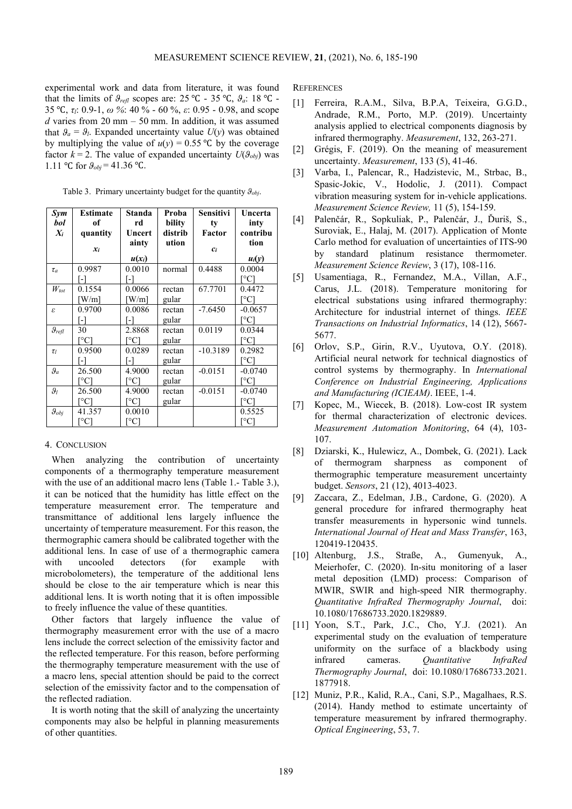experimental work and data from literature, it was found that the limits of  $\mathcal{G}_{refl}$  scopes are: 25 °C - 35 °C,  $\mathcal{G}_a$ : 18 °C -35 ℃, *τl*: 0.9-1, *ω %*: 40 % - 60 %, *ε*: 0.95 - 0.98, and scope  $d$  varies from 20 mm – 50 mm. In addition, it was assumed that  $\theta_a = \theta_l$ . Expanded uncertainty value  $U(v)$  was obtained by multiplying the value of  $u(y) = 0.55$  °C by the coverage factor  $k = 2$ . The value of expanded uncertainty  $U(\theta_{obj})$  was 1.11 °C for  $\theta_{obj}$  = 41.36 °C.

Table 3. Primary uncertainty budget for the quantity *ϑobj*.

| Sym                 | <b>Estimate</b>       | Standa                | Proba   | <b>Sensitivi</b> | Uncerta              |
|---------------------|-----------------------|-----------------------|---------|------------------|----------------------|
| bol                 | of                    | rd                    | bility  | ty               | inty                 |
| $X_i$               | quantity              | Uncert                | distrib | Factor           | contribu             |
|                     |                       | ainty                 | ution   |                  | tion                 |
|                     | $x_i$                 |                       |         | $c_i$            |                      |
|                     |                       | $u(x_i)$              |         |                  | $u_i(y)$             |
| $\tau_a$            | 0.9987                | 0.0010                | normal  | 0.4488           | 0.0004               |
|                     | -1                    | -1                    |         |                  | $^{\circ}$ Cl        |
| $W_{tot}$           | 0.1554                | 0.0066                | rectan  | 67.7701          | 0.4472               |
|                     | $\lceil W/m \rceil$   | $\lceil W/m \rceil$   | gular   |                  | [°C]                 |
| ε                   | 0.9700                | 0.0086                | rectan  | $-7.6450$        | $-0.0657$            |
|                     | -1                    | -1                    | gular   |                  | $^{\circ}$ Cl        |
| $\vartheta_{refl}$  | 30                    | 2.8868                | rectan  | 0.0119           | 0.0344               |
|                     | [°C]                  | [°C]                  | gular   |                  | [°C]                 |
| $\tau_l$            | 0.9500                | 0.0289                | rectan  | $-10.3189$       | 0.2982               |
|                     |                       | -1                    | gular   |                  | [°C]                 |
| $\vartheta_a$       | 26.500                | 4.9000                | rectan  | $-0.0151$        | $-0.0740$            |
|                     | °C1                   | [°C]                  | gular   |                  | [°C]                 |
| $\vartheta_l$       | 26.500                | 4.9000                | rectan  | $-0.0151$        | $-0.0740$            |
|                     | [°C]                  | [°C]                  | gular   |                  | [°C]                 |
| $\mathcal{G}_{obj}$ | 41.357                | 0.0010                |         |                  | 0.5525               |
|                     | $^{\circ}\mathrm{Cl}$ | $^{\circ}\mathrm{Cl}$ |         |                  | $^{\circ}\mathrm{C}$ |

## 4. CONCLUSION

When analyzing the contribution of uncertainty components of a thermography temperature measurement with the use of an additional macro lens (Table 1.- Table 3.). it can be noticed that the humidity has little effect on the temperature measurement error. The temperature and transmittance of additional lens largely influence the uncertainty of temperature measurement. For this reason, the thermographic camera should be calibrated together with the additional lens. In case of use of a thermographic camera with uncooled detectors (for example with microbolometers), the temperature of the additional lens should be close to the air temperature which is near this additional lens. It is worth noting that it is often impossible to freely influence the value of these quantities.

Other factors that largely influence the value of thermography measurement error with the use of a macro lens include the correct selection of the emissivity factor and the reflected temperature. For this reason, before performing the thermography temperature measurement with the use of a macro lens, special attention should be paid to the correct selection of the emissivity factor and to the compensation of the reflected radiation.

It is worth noting that the skill of analyzing the uncertainty components may also be helpful in planning measurements of other quantities.

**REFERENCES** 

- [1] Ferreira, R.A.M., Silva, B.P.A, Teixeira, G.G.D., Andrade, R.M., Porto, M.P. (2019). Uncertainty analysis applied to electrical components diagnosis by infrared thermography. *Measurement*, 132, 263-271.
- [2] Grégis, F. (2019). On the meaning of measurement uncertainty. *Measurement*, 133 (5), 41-46.
- [3] Varba, I., Palencar, R., Hadzistevic, M., Strbac, B., Spasic-Jokic, V., Hodolic, J. (2011). Compact vibration measuring system for in-vehicle applications. *Measurement Science Review,* 11 (5), 154-159.
- [4] Palenčár, R., Sopkuliak, P., Palenčár, J., Ďuriš, S., Suroviak, E., Halaj, M. (2017). Application of Monte Carlo method for evaluation of uncertainties of ITS-90 by standard platinum resistance thermometer. *Measurement Science Review*, 3 (17), 108-116.
- [5] Usamentiaga, R., Fernandez, M.A., Villan, A.F., Carus, J.L. (2018). Temperature monitoring for electrical substations using infrared thermography: Architecture for industrial internet of things. *IEEE Transactions on Industrial Informatics*, 14 (12), 5667- 5677.
- [6] Orlov, S.P., Girin, R.V., Uyutova, O.Y. (2018). Artificial neural network for technical diagnostics of control systems by thermography. In *International Conference on Industrial Engineering, Applications and Manufacturing (ICIEAM)*. IEEE, 1-4.
- [7] Kopec, M., Wiecek, B. (2018). Low-cost IR system for thermal characterization of electronic devices. *Measurement Automation Monitoring*, 64 (4), 103- 107.
- [8] Dziarski, K., Hulewicz, A., Dombek, G. (2021). Lack of thermogram sharpness as component of thermographic temperature measurement uncertainty budget. *Sensors*, 21 (12), 4013-4023.
- [9] Zaccara, Z., Edelman, J.B., Cardone, G. (2020). A general procedure for infrared thermography heat transfer measurements in hypersonic wind tunnels. *International Journal of Heat and Mass Transfer*, 163, 120419-120435.
- [10] Altenburg, J.S., Straße, A., Gumenyuk, A., Meierhofer, C. (2020). In-situ monitoring of a laser metal deposition (LMD) process: Comparison of MWIR, SWIR and high-speed NIR thermography. *Quantitative InfraRed Thermography Journal*, doi: 10.1080/17686733.2020.1829889.
- [11] Yoon, S.T., Park, J.C., Cho, Y.J. (2021). An experimental study on the evaluation of temperature uniformity on the surface of a blackbody using infrared cameras. *Quantitative InfraRed Thermography Journal*, doi: 10.1080/17686733.2021. 1877918.
- [12] Muniz, P.R., Kalid, R.A., Cani, S.P., Magalhaes, R.S. (2014). Handy method to estimate uncertainty of temperature measurement by infrared thermography. *Optical Engineering*, 53, 7.